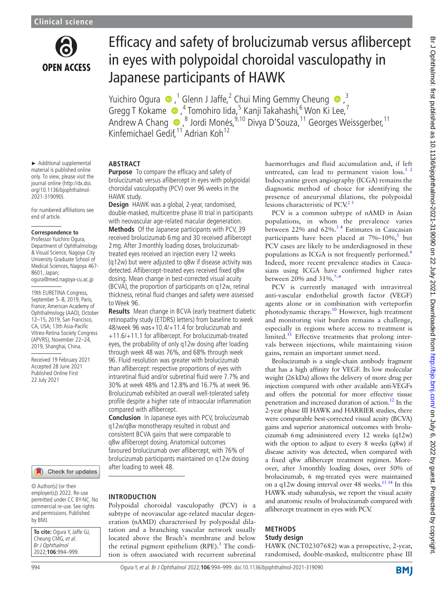

# Efficacy and safety of brolucizumab versus aflibercept in eyes with polypoidal choroidal vasculopathy in Japanese participants of HAWK

YuichiroOgura  $\bigcirc$ ,<sup>1</sup> Glenn J Jaffe,<sup>2</sup> Chui Ming Gemmy Cheung  $\bigcirc$ ,<sup>3</sup> GreggT Kokame (D, <sup>4</sup> Tomohiro Iida, 5 Kanji Takahashi, <sup>6</sup> Won Ki Lee, 7 AndrewA Chang  $\bigcirc$ , <sup>8</sup> Jordi Monés, <sup>9,10</sup> Divya D'Souza, <sup>11</sup> Georges Weissgerber, <sup>11</sup> Kinfemichael Gedif, <sup>11</sup> Adrian Koh<sup>12</sup>

#### ► Additional supplemental material is published online only. To view, please visit the

journal online ([http://dx.doi.](http://dx.doi.org/10.1136/bjophthalmol-2021-319090) [org/10.1136/bjophthalmol-](http://dx.doi.org/10.1136/bjophthalmol-2021-319090)[2021-319090\)](http://dx.doi.org/10.1136/bjophthalmol-2021-319090).

For numbered affiliations see end of article.

#### **Correspondence to**

Professor Yuichiro Ogura, Department of Ophthalmology & Visual Science, Nagoya City University Graduate School of Medical Sciences, Nagoya 467- 8601, Japan; ogura@med.nagoya-cu.ac.jp

19th EURETINA Congress, September 5-8, 2019, Paris, France; American Academy of Ophthalmology (AAO), October 12–15, 2019, San Francisco, CA, USA; 13th Asia-Pacific Vitreo-Retina Society Congress (APVRS), November 22–24, 2019, Shanghai, China.

Received 19 February 2021 Accepted 28 June 2021 Published Online First 22 July 2021



© Author(s) (or their employer(s)) 2022. Re-use permitted under CC BY-NC. No commercial re-use. See rights and permissions. Published by BMJ.

| <b>To cite:</b> Ogura Y, Jaffe GJ, |
|------------------------------------|
| Cheung CMG, et al.                 |
| Br J Ophthalmol                    |
| 2022;106:994-999.                  |

## **ABSTRACT**

**Purpose** To compare the efficacy and safety of brolucizumab versus aflibercept in eyes with polypoidal choroidal vasculopathy (PCV) over 96 weeks in the HAWK study.

**Design** HAWK was a global, 2-year, randomised, double-masked, multicentre phase III trial in participants with neovascular age-related macular degeneration. **Methods** Of the Japanese participants with PCV, 39 received brolucizumab 6mg and 30 received aflibercept 2mg. After 3monthly loading doses, brolucizumabtreated eyes received an injection every 12 weeks (q12w) but were adjusted to q8w if disease activity was detected. Aflibercept-treated eyes received fixed q8w dosing. Mean change in best-corrected visual acuity (BCVA), the proportion of participants on q12w, retinal thickness, retinal fluid changes and safety were assessed to Week 96.

**Results** Mean change in BCVA (early treatment diabetic retinopathy study (ETDRS) letters) from baseline to week 48/week 96 was+10.4/+11.4 for brolucizumab and +11.6/+11.1 for aflibercept. For brolucizumab-treated eyes, the probability of only q12w dosing after loading through week 48 was 76%, and 68% through week 96. Fluid resolution was greater with brolucizumab than aflibercept: respective proportions of eyes with intraretinal fluid and/or subretinal fluid were 7.7% and 30% at week 48% and 12.8%and 16.7% at week 96. Brolucizumab exhibited an overall well-tolerated safety profile despite a higher rate of intraocular inflammation compared with aflibercept.

**Conclusion** In Japanese eyes with PCV, brolucizumab q12w/q8w monotherapy resulted in robust and consistent BCVA gains that were comparable to q8w aflibercept dosing. Anatomical outcomes favoured brolucizumab over aflibercept, with 76% of brolucizumab participants maintained on q12w dosing after loading to week 48.

### **INTRODUCTION**

Polypoidal choroidal vasculopathy (PCV) is a subtype of neovascular age-related macular degeneration (nAMD) characterised by polypoidal dilatation and a branching vascular network usually located above the Bruch's membrane and below the retinal pigment epithelium (RPE).<sup>[1](#page-5-0)</sup> The condition is often associated with recurrent subretinal haemorrhages and fluid accumulation and, if left untreated, can lead to permanent vision loss.<sup>1</sup> <sup>2</sup> Indocyanine green angiography (ICGA) remains the diagnostic method of choice for identifying the presence of aneurysmal dilations, the polypoidal lesions characteristic of PCV. $^{2}$ <sup>3</sup>

PCV is a common subtype of nAMD in Asian populations, in whom the prevalence varies between 22% and 62%.<sup>34</sup> Estimates in Caucasian participants have been placed at  $7\% - 10\%$ ,<sup>[5](#page-5-3)</sup> but PCV cases are likely to be underdiagnosed in these populations as ICGA is not frequently performed.<sup>[6](#page-5-4)</sup> Indeed, more recent prevalence studies in Caucasians using ICGA have confirmed higher rates between 20% and 31%.<sup>7-9</sup>

PCV is currently managed with intravitreal anti-vascular endothelial growth factor (VEGF) agents alone or in combination with verteporfin photodynamic therapy.[10](#page-5-6) However, high treatment and monitoring visit burden remains a challenge, especially in regions where access to treatment is limited.<sup>11</sup> Effective treatments that prolong intervals between injections, while maintaining vision gains, remain an important unmet need.

Brolucizumab is a single-chain antibody fragment that has a high affinity for VEGF. Its low molecular weight (26kDa) allows the delivery of more drug per injection compared with other available anti-VEGFs and offers the potential for more effective tissue penetration and increased duration of action.<sup>12</sup> In the 2-year phase III HAWK and HARRIER studies, there were comparable best-corrected visual acuity (BCVA) gains and superior anatomical outcomes with brolucizumab 6mg administered every 12 weeks (q12w) with the option to adjust to every 8 weeks (q8w) if disease activity was detected, when compared with a fixed q8w aflibercept treatment regimen. Moreover, after 3monthly loading doses, over 50% of brolucizumab, 6 mg-treated eyes were maintained on a q12w dosing interval over 48 weeks.<sup>13 14</sup> In this HAWK study subanalysis, we report the visual acuity and anatomic results of brolucizumab compared with aflibercept treatment in eyes with PCV.

### **METHODS**

### **Study design**

HAWK (NCT02307682) was a prospective, 2-year, randomised, double-masked, multicentre phase III

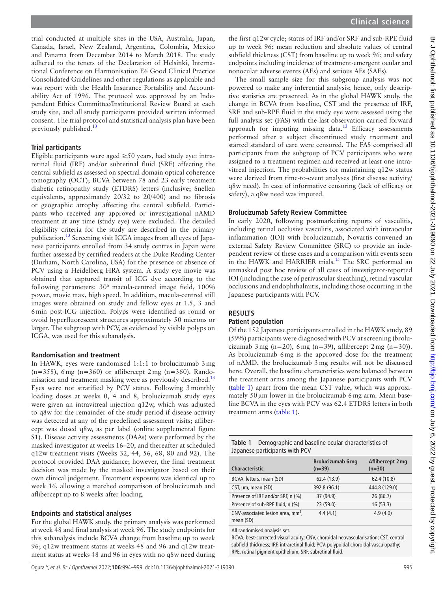trial conducted at multiple sites in the USA, Australia, Japan, Canada, Israel, New Zealand, Argentina, Colombia, Mexico and Panama from December 2014 to March 2018. The study adhered to the tenets of the Declaration of Helsinki, International Conference on Harmonisation E6 Good Clinical Practice Consolidated Guidelines and other regulations as applicable and was report with the Health Insurance Portability and Accountability Act of 1996. The protocol was approved by an Independent Ethics Committee/Institutional Review Board at each study site, and all study participants provided written informed consent. The trial protocol and statistical analysis plan have been previously published. $13$ 

## **Trial participants**

Eligible participants were aged  $\geq$  50 years, had study eye: intraretinal fluid (IRF) and/or subretinal fluid (SRF) affecting the central subfield as assessed on spectral domain optical coherence tomography (OCT); BCVA between 78 and 23 early treatment diabetic retinopathy study (ETDRS) letters (inclusive; Snellen equivalents, approximately 20/32 to 20/400) and no fibrosis or geographic atrophy affecting the central subfield. Participants who received any approved or investigational nAMD treatment at any time (study eye) were excluded. The detailed eligibility criteria for the study are described in the primary publication.[13](#page-5-9) Screening visit ICGA images from all eyes of Japanese participants enrolled from 34 study centres in Japan were further assessed by certified readers at the Duke Reading Center (Durham, North Carolina, USA) for the presence or absence of PCV using a Heidelberg HRA system. A study eye movie was obtained that captured transit of ICG dye according to the following parameters: 30<sup>o</sup> macula-centred image field, 100% power, movie max, high speed. In addition, macula-centred still images were obtained on study and fellow eyes at 1.5, 3 and 6min post-ICG injection. Polyps were identified as round or ovoid hyperfluorescent structures approximately 50 microns or larger. The subgroup with PCV, as evidenced by visible polyps on ICGA, was used for this subanalysis.

### **Randomisation and treatment**

In HAWK, eyes were randomised 1:1:1 to brolucizumab 3mg  $(n=358)$ , 6 mg  $(n=360)$  or aflibercept 2 mg  $(n=360)$ . Rando-misation and treatment masking were as previously described.<sup>[13](#page-5-9)</sup> Eyes were not stratified by PCV status. Following 3monthly loading doses at weeks 0, 4 and 8, brolucizumab study eyes were given an intravitreal injection q12w, which was adjusted to q8w for the remainder of the study period if disease activity was detected at any of the predefined assessment visits; aflibercept was dosed q8w, as per label ([online supplemental figure](https://dx.doi.org/10.1136/bjophthalmol-2021-319090)  [S1\)](https://dx.doi.org/10.1136/bjophthalmol-2021-319090). Disease activity assessments (DAAs) were performed by the masked investigator at weeks 16–20, and thereafter at scheduled q12w treatment visits (Weeks 32, 44, 56, 68, 80 and 92). The protocol provided DAA guidance; however, the final treatment decision was made by the masked investigator based on their own clinical judgement. Treatment exposure was identical up to week 16, allowing a matched comparison of brolucizumab and aflibercept up to 8 weeks after loading.

### **Endpoints and statistical analyses**

For the global HAWK study, the primary analysis was performed at week 48 and final analysis at week 96. The study endpoints for this subanalysis include BCVA change from baseline up to week 96; q12w treatment status at weeks 48 and 96 and q12w treatment status at weeks 48 and 96 in eyes with no q8w need during

the first q12w cycle; status of IRF and/or SRF and sub-RPE fluid up to week 96; mean reduction and absolute values of central subfield thickness (CST) from baseline up to week 96; and safety endpoints including incidence of treatment-emergent ocular and nonocular adverse events (AEs) and serious AEs (SAEs).

The small sample size for this subgroup analysis was not powered to make any inferential analysis; hence, only descriptive statistics are presented. As in the global HAWK study, the change in BCVA from baseline, CST and the presence of IRF, SRF and sub-RPE fluid in the study eye were assessed using the full analysis set (FAS) with the last observation carried forward approach for imputing missing data. $13$  Efficacy assessments performed after a subject discontinued study treatment and started standard of care were censored. The FAS comprised all participants from the subgroup of PCV participants who were assigned to a treatment regimen and received at least one intravitreal injection. The probabilities for maintaining q12w status were derived from time-to-event analyses (first disease activity/ q8w need). In case of informative censoring (lack of efficacy or safety), a q8w need was imputed.

## **Brolucizumab Safety Review Committee**

In early 2020, following postmarketing reports of vasculitis, including retinal occlusive vasculitis, associated with intraocular inflammation (IOI) with brolucizumab, Novartis convened an external Safety Review Committee (SRC) to provide an independent review of these cases and a comparison with events seen in the HAWK and HARRIER trials.<sup>[15](#page-5-10)</sup> The SRC performed an unmasked post hoc review of all cases of investigator-reported IOI (including the case of perivascular sheathing), retinal vascular occlusions and endophthalmitis, including those occurring in the Japanese participants with PCV.

## **RESULTS**

### **Patient population**

Of the 152 Japanese participants enrolled in the HAWK study, 89 (59%) participants were diagnosed with PCV at screening (brolucizumab  $3 \text{ mg } (n=20)$ ,  $6 \text{ mg } (n=39)$ , aflibercept  $2 \text{ mg } (n=30)$ ). As brolucizumab 6mg is the approved dose for the treatment of nAMD, the brolucizumab 3mg results will not be discussed here. Overall, the baseline characteristics were balanced between the treatment arms among the Japanese participants with PCV ([table](#page-1-0) 1) apart from the mean CST value, which was approximately 50 µm lower in the brolucizumab 6 mg arm. Mean baseline BCVA in the eyes with PCV was 62.4 ETDRS letters in both treatment arms ([table](#page-1-0) 1).

<span id="page-1-0"></span>

| <b>Table 1</b> Demographic and baseline ocular characteristics of |
|-------------------------------------------------------------------|
| Japanese participants with PCV                                    |

| <b>Characteristic</b>                            | <b>Brolucizumab 6 mg</b><br>$(n=39)$ | Aflibercept 2 mg<br>$(n=30)$ |
|--------------------------------------------------|--------------------------------------|------------------------------|
| BCVA, letters, mean (SD)                         | 62.4 (13.9)                          | 62.4 (10.8)                  |
| CST, µm, mean (SD)                               | 392.8 (96.1)                         | 444.8 (129.0)                |
| Presence of IRF and/or SRF, n (%)                | 37 (94.9)                            | 26 (86.7)                    |
| Presence of sub-RPE fluid, n (%)                 | 23 (59.0)                            | 16(53.3)                     |
| CNV-associated lesion area, $mm2$ ,<br>mean (SD) | 4.4(4.1)                             | 4.9(4.0)                     |

All randomised analysis set.

BCVA, best-corrected visual acuity; CNV, choroidal neovascularisation; CST, central subfield thickness; IRF, intraretinal fluid; PCV, polypoidal choroidal vasculopathy; RPE, retinal pigment epithelium; SRF, subretinal fluid.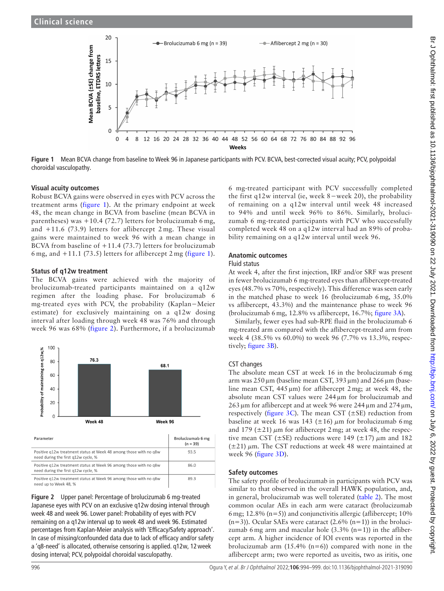

**Figure 1** Mean BCVA change from baseline to Week 96 in Japanese participants with PCV. BCVA, best-corrected visual acuity; PCV, polypoidal choroidal vasculopathy.

#### **Visual acuity outcomes**

Robust BCVA gains were observed in eyes with PCV across the treatment arms ([figure](#page-2-0) 1). At the primary endpoint at week 48, the mean change in BCVA from baseline (mean BCVA in parentheses) was  $+10.4$  (72.7) letters for brolucizumab 6 mg, and +11.6 (73.9) letters for aflibercept 2 mg. These visual gains were maintained to week 96 with a mean change in BCVA from baseline of +11.4 (73.7) letters for brolucizumab 6 mg, and  $+11.1$  (73.5) letters for aflibercept 2 mg [\(figure](#page-2-0) 1).

#### **Status of q12w treatment**

The BCVA gains were achieved with the majority of brolucizumab-treated participants maintained on a q12w regimen after the loading phase. For brolucizumab 6 mg-treated eyes with PCV, the probability (Kaplan−Meier estimate) for exclusively maintaining on a q12w dosing interval after loading through week 48 was 76% and through week 96 was 68% ([figure](#page-2-1) 2). Furthermore, if a brolucizumab



| Parameter                                                                                                | Brolucizumab 6 mg<br>$(n = 39)$ |
|----------------------------------------------------------------------------------------------------------|---------------------------------|
| Positive q12w treatment status at Week 48 among those with no q8w<br>need during the first a12w cycle. % | 93.5                            |
| Positive g12w treatment status at Week 96 among those with no g8w<br>need during the first q12w cycle, % | 86.0                            |
| Positive g12w treatment status at Week 96 among those with no g8w<br>need up to Week 48, %               | 89.3                            |

<span id="page-2-1"></span>**Figure 2** Upper panel: Percentage of brolucizumab 6 mg-treated Japanese eyes with PCV on an exclusive q12w dosing interval through week 48 and week 96. Lower panel: Probability of eyes with PCV remaining on a q12w interval up to week 48 and week 96. Estimated percentages from Kaplan-Meier analysis with 'Efficacy/Safety approach'. In case of missing/confounded data due to lack of efficacy and/or safety a 'q8-need' is allocated, otherwise censoring is applied. q12w, 12week dosing interval; PCV, polypoidal choroidal vasculopathy.

<span id="page-2-0"></span>6 mg-treated participant with PCV successfully completed the first q12w interval (ie, week 8−week 20), the probability of remaining on a q12w interval until week 48 increased to 94% and until week 96% to 86%. Similarly, brolucizumab 6 mg-treated participants with PCV who successfully completed week 48 on a q12w interval had an 89% of probability remaining on a q12w interval until week 96.

#### **Anatomic outcomes**

#### Fluid status

At week 4, after the first injection, IRF and/or SRF was present in fewer brolucizumab 6 mg-treated eyes than aflibercept-treated eyes (48.7% vs 70%, respectively). This difference was seen early in the matched phase to week 16 (brolucizumab 6mg, 35.0% vs aflibercept, 43.3%) and the maintenance phase to week 96 (brolucizumab 6mg, 12.8% vs aflibercept, 16.7%; [figure](#page-3-0) 3A).

Similarly, fewer eyes had sub-RPE fluid in the brolucizumab 6 mg-treated arm compared with the aflibercept-treated arm from week 4 (38.5% vs 60.0%) to week 96 (7.7% vs 13.3%, respectively; [figure](#page-3-0) 3B).

### CST changes

The absolute mean CST at week 16 in the brolucizumab 6mg arm was  $250 \,\mu$ m (baseline mean CST, 393  $\mu$ m) and  $266 \,\mu$ m (baseline mean CST, 445µm) for aflibercept 2mg; at week 48, the absolute mean CST values were 244µm for brolucizumab and  $263 \mu m$  for aflibercept and at week 96 were  $244 \mu m$  and  $274 \mu m$ , respectively [\(figure](#page-3-0) 3C). The mean CST ( $\pm$ SE) reduction from baseline at week 16 was 143 ( $\pm$ 16)  $\mu$ m for brolucizumab 6 mg and 179 ( $\pm$ 21)  $\mu$ m for aflibercept 2 mg; at week 48, the respective mean CST ( $\pm$ SE) reductions were 149 ( $\pm$ 17)  $\mu$ m and 182  $(\pm 21)$   $\mu$ m. The CST reductions at week 48 were maintained at week 96 ([figure](#page-3-0) 3D).

### **Safety outcomes**

The safety profile of brolucizumab in participants with PCV was similar to that observed in the overall HAWK population, and, in general, brolucizumab was well tolerated ([table](#page-3-1) 2). The most common ocular AEs in each arm were cataract (brolucizumab 6 mg; 12.8% ( $n=5$ )) and conjunctivitis allergic (aflibercept; 10%  $(n=3)$ ). Ocular SAEs were cataract  $(2.6\% (n=1))$  in the brolucizumab 6 mg arm and macular hole  $(3.3\%$  (n=1)) in the aflibercept arm. A higher incidence of IOI events was reported in the brolucizumab arm  $(15.4\%$  (n=6)) compared with none in the aflibercept arm; two were reported as uveitis, two as iritis, one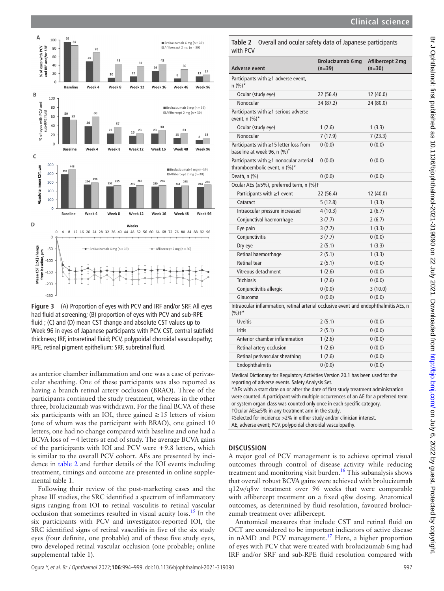





<span id="page-3-0"></span>**Figure 3** (A) Proportion of eyes with PCV and IRF and/or SRF. All eyes had fluid at screening; (B) proportion of eyes with PCV and sub-RPE fluid ; (C) and (D) mean CST change and absolute CST values up to Week 96 in eyes of Japanese participants with PCV. CST, central subfield thickness; IRF, intraretinal fluid; PCV, polypoidal choroidal vasculopathy; RPE, retinal pigment epithelium; SRF, subretinal fluid.

as anterior chamber inflammation and one was a case of perivascular sheathing. One of these participants was also reported as having a branch retinal artery occlusion (BRAO). Three of the participants continued the study treatment, whereas in the other three, brolucizumab was withdrawn. For the final BCVA of these six participants with an IOI, three gained  $\geq 15$  letters of vision (one of whom was the participant with BRAO), one gained 10 letters, one had no change compared with baseline and one had a BCVA loss of −4 letters at end of study. The average BCVA gains of the participants with IOI and PCV were +9.8 letters, which is similar to the overall PCV cohort. AEs are presented by incidence in [table](#page-3-1) 2 and further details of the IOI events including treatment, timings and outcome are presented in [online supple](https://dx.doi.org/10.1136/bjophthalmol-2021-319090)[mental table 1.](https://dx.doi.org/10.1136/bjophthalmol-2021-319090)

Following their review of the post-marketing cases and the phase III studies, the SRC identified a spectrum of inflammatory signs ranging from IOI to retinal vasculitis to retinal vascular occlusion that sometimes resulted in visual acuity loss.<sup>[15](#page-5-10)</sup> In the six participants with PCV and investigator-reported IOI, the SRC identified signs of retinal vasculitis in five of the six study eyes (four definite, one probable) and of these five study eyes, two developed retinal vascular occlusion (one probable; [online](https://dx.doi.org/10.1136/bjophthalmol-2021-319090)  [supplemental table 1\)](https://dx.doi.org/10.1136/bjophthalmol-2021-319090).

<span id="page-3-1"></span>**Table 2** Overall and ocular safety data of Japanese participants with PCV

| Adverse event                                                                                              | <b>Brolucizumab 6 mg</b><br>$(n=39)$ | Aflibercept 2 mg<br>$(n=30)$ |
|------------------------------------------------------------------------------------------------------------|--------------------------------------|------------------------------|
| Participants with $\geq$ 1 adverse event,<br>$n (%)^*$                                                     |                                      |                              |
| Ocular (study eye)                                                                                         | 22 (56.4)                            | 12 (40.0)                    |
| Nonocular                                                                                                  | 34 (87.2)                            | 24 (80.0)                    |
| Participants with $\geq$ 1 serious adverse<br>event, $n$ (%)*                                              |                                      |                              |
| Ocular (study eye)                                                                                         | 1(2.6)                               | 1(3.3)                       |
| Nonocular                                                                                                  | 7(17.9)                              | 7(23.3)                      |
| Participants with ≥15 letter loss from<br>baseline at week 96, n $(\%)^{\dagger}$                          | 0(0.0)                               | 0(0.0)                       |
| Participants with $\geq$ 1 nonocular arterial<br>thromboembolic event, n (%)*                              | 0(0.0)                               | 0(0.0)                       |
| Death, n (%)                                                                                               | 0(0.0)                               | 0(0.0)                       |
| Ocular AEs (≥5%), preferred term, n (%)+                                                                   |                                      |                              |
| Participants with $\geq$ 1 event                                                                           | 22 (56.4)                            | 12 (40.0)                    |
| Cataract                                                                                                   | 5(12.8)                              | 1(3.3)                       |
| Intraocular pressure increased                                                                             | 4(10.3)                              | 2(6.7)                       |
| Conjunctival haemorrhage                                                                                   | 3(7.7)                               | 2(6.7)                       |
| Eye pain                                                                                                   | 3(7.7)                               | 1(3.3)                       |
| Conjunctivitis                                                                                             | 3(7.7)                               | 0(0.0)                       |
| Dry eye                                                                                                    | 2(5.1)                               | 1(3.3)                       |
| Retinal haemorrhage                                                                                        | 2(5.1)                               | 1(3.3)                       |
| Retinal tear                                                                                               | 2(5.1)                               | 0(0.0)                       |
| Vitreous detachment                                                                                        | 1(2.6)                               | 0(0.0)                       |
| <b>Trichiasis</b>                                                                                          | 1(2.6)                               | 0(0.0)                       |
| Conjunctivitis allergic                                                                                    | 0(0.0)                               | 3(10.0)                      |
| Glaucoma                                                                                                   | 0(0.0)                               | 0(0.0)                       |
| Intraocular inflammation, retinal arterial occlusive event and endophthalmitis AEs, n<br>$(% )^{\dagger*}$ |                                      |                              |
| <b>Uveitis</b>                                                                                             | 2(5.1)                               | 0(0.0)                       |
| <b>Iritis</b>                                                                                              | 2(5.1)                               | 0(0.0)                       |
| Anterior chamber inflammation                                                                              | 1(2.6)                               | 0(0.0)                       |
| Retinal artery occlusion                                                                                   | 1(2.6)                               | 0(0.0)                       |
| Retinal perivascular sheathing                                                                             | 1(2.6)                               | 0(0.0)                       |

Medical Dictionary for Regulatory Activities Version 20.1 has been used for the reporting of adverse events. Safety Analysis Set.

Endophthalmitis  $0(0.0)$  0 (0.0)

\*AEs with a start date on or after the date of first study treatment administration were counted. A participant with multiple occurrences of an AE for a preferred term or system organ class was counted only once in each specific category.

†Ocular AEs≥5% in any treatment arm in the study.

‡Selected for incidence >2% in either study and/or clinician interest.

AE, adverse event; PCV, polypoidal choroidal vasculopathy.

## **DISCUSSION**

A major goal of PCV management is to achieve optimal visual outcomes through control of disease activity while reducing treatment and monitoring visit burden.<sup>[16](#page-5-11)</sup> This subanalysis shows that overall robust BCVA gains were achieved with brolucizumab q12w/q8w treatment over 96 weeks that were comparable with aflibercept treatment on a fixed q8w dosing. Anatomical outcomes, as determined by fluid resolution, favoured brolucizumab treatment over aflibercept.

Anatomical measures that include CST and retinal fluid on OCT are considered to be important indicators of active disease in nAMD and PCV management.<sup>17</sup> Here, a higher proportion of eyes with PCV that were treated with brolucizumab 6mg had IRF and/or SRF and sub-RPE fluid resolution compared with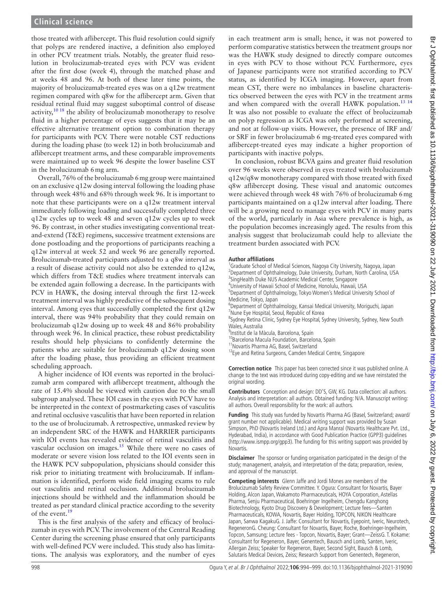those treated with aflibercept. This fluid resolution could signify that polyps are rendered inactive, a definition also employed in other PCV treatment trials. Notably, the greater fluid resolution in brolucizumab-treated eyes with PCV was evident after the first dose (week 4), through the matched phase and at weeks 48 and 96. At both of these later time points, the majority of brolucizumab-treated eyes was on a q12w treatment regimen compared with q8w for the aflibercept arm. Given that residual retinal fluid may suggest suboptimal control of disease activity,  $10^{18}$  the ability of brolucizumab monotherapy to resolve fluid in a higher percentage of eyes suggests that it may be an effective alternative treatment option to combination therapy for participants with PCV. There were notable CST reductions during the loading phase (to week 12) in both brolucizumab and aflibercept treatment arms, and these comparable improvements were maintained up to week 96 despite the lower baseline CST in the brolucizumab 6mg arm.

Overall, 76% of the brolucizumab 6mg group were maintained on an exclusive q12w dosing interval following the loading phase through week 48% and 68% through week 96. It is important to note that these participants were on a q12w treatment interval immediately following loading and successfully completed three q12w cycles up to week 48 and seven q12w cycles up to week 96. By contrast, in other studies investigating conventional treatand-extend (T&E) regimens, successive treatment extensions are done postloading and the proportions of participants reaching a q12w interval at week 52 and week 96 are generally reported. Brolucizumab-treated participants adjusted to a q8w interval as a result of disease activity could not also be extended to q12w, which differs from T&E studies where treatment intervals can be extended again following a decrease. In the participants with PCV in HAWK, the dosing interval through the first 12-week treatment interval was highly predictive of the subsequent dosing interval. Among eyes that successfully completed the first q12w interval, there was 94% probability that they could remain on brolucizumab q12w dosing up to week 48 and 86% probability through week 96. In clinical practice, these robust predictability results should help physicians to confidently determine the patients who are suitable for brolucizumab q12w dosing soon after the loading phase, thus providing an efficient treatment scheduling approach.

A higher incidence of IOI events was reported in the brolucizumab arm compared with aflibercept treatment, although the rate of 15.4% should be viewed with caution due to the small subgroup analysed. These IOI cases in the eyes with PCV have to be interpreted in the context of postmarketing cases of vasculitis and retinal occlusive vasculitis that have been reported in relation to the use of brolucizumab. A retrospective, unmasked review by an independent SRC of the HAWK and HARRIER participants with IOI events has revealed evidence of retinal vasculitis and vascular occlusion on images.<sup>[15](#page-5-10)</sup> While there were no cases of moderate or severe vision loss related to the IOI events seen in the HAWK PCV subpopulation, physicians should consider this risk prior to initiating treatment with brolucizumab. If inflammation is identified, perform wide field imaging exams to rule out vasculitis and retinal occlusion. Additional brolucizumab injections should be withheld and the inflammation should be treated as per standard clinical practice according to the severity of the event.<sup>[19](#page-5-13)</sup>

This is the first analysis of the safety and efficacy of brolucizumab in eyes with PCV. The involvement of the Central Reading Center during the screening phase ensured that only participants with well-defined PCV were included. This study also has limitations. The analysis was exploratory, and the number of eyes

in each treatment arm is small; hence, it was not powered to perform comparative statistics between the treatment groups nor was the HAWK study designed to directly compare outcomes in eyes with PCV to those without PCV. Furthermore, eyes of Japanese participants were not stratified according to PCV status, as identified by ICGA imaging. However, apart from mean CST, there were no imbalances in baseline characteristics observed between the eyes with PCV in the treatment arms and when compared with the overall HAWK population.<sup>[13 14](#page-5-9)</sup> It was also not possible to evaluate the effect of brolucizumab on polyp regression as ICGA was only performed at screening, and not at follow-up visits. However, the presence of IRF and/ or SRF in fewer brolucizumab 6 mg-treated eyes compared with aflibercept-treated eyes may indicate a higher proportion of participants with inactive polyps.

In conclusion, robust BCVA gains and greater fluid resolution over 96 weeks were observed in eyes treated with brolucizumab q12w/q8w monotherapy compared with those treated with fixed q8w aflibercept dosing. These visual and anatomic outcomes were achieved through week 48 with 76% of brolucizumab 6mg participants maintained on a q12w interval after loading. There will be a growing need to manage eyes with PCV in many parts of the world, particularly in Asia where prevalence is high, as the population becomes increasingly aged. The results from this analysis suggest that brolucizumab could help to alleviate the treatment burden associated with PCV.

#### **Author affiliations**

<sup>1</sup>Graduate School of Medical Sciences, Nagoya City University, Nagoya, Japan <sup>2</sup> Department of Ophthalmology, Duke University, Durham, North Carolina, USA <sup>3</sup>SingHealth Duke NUS Academic Medical Center, Singapore 4 University of Hawaii School of Medicine, Honolulu, Hawaii, USA <sup>5</sup>Department of Ophthalmology, Tokyo Women's Medical University School of Medicine, Tokyo, Japan 6 Department of Ophthalmology, Kansai Medical University, Moriguchi, Japan 7 Nune Eye Hospital, Seoul, Republic of Korea <sup>8</sup>Sydney Retina Clinic, Sydney Eye Hospital, Sydney University, Sydney, New South

- Wales, Australia
- <sup>9</sup>Institut de la Màcula, Barcelona, Spain
- <sup>10</sup>Barcelona Macula Foundation, Barcelona, Spain
- <sup>11</sup>Novartis Pharma AG, Basel, Switzerland
- <sup>12</sup>Eye and Retina Surgeons, Camden Medical Centre, Singapore

**Correction notice** This paper has been corrected since it was published online. A change to the text was introduced during copy-editing and we have reinstated the original wording.

**Contributors** Conception and design: DD'S, GW, KG. Data collection: all authors. Analysis and interpretation: all authors. Obtained funding: N/A. Manuscript writing: all authors. Overall responsibility for the work: all authors.

**Funding** This study was funded by Novartis Pharma AG (Basel, Switzerland; award/ grant number not applicable). Medical writing support was provided by Susan Simpson, PhD (Novartis Ireland Ltd.) and Apra Manral (Novartis Healthcare Pvt. Ltd., Hyderabad, India), in accordance with Good Publication Practice (GPP3) guidelines ([http://www.ismpp.org/gpp3\)](http://www.ismpp.org/gpp3). The funding for this writing support was provided by Novartis.

**Disclaimer** The sponsor or funding organisation participated in the design of the study; management, analysis, and interpretation of the data; preparation, review, and approval of the manuscript.

**Competing interests** Glenn Jaffe and Jordi Mones are members of the Brolucizumab Safety Review Committee. Y. Ogura: Consultant for Novartis, Bayer Holding, Alcon Japan, Wakamoto Pharmaceuticals, HOYA Corporation, Astellas Pharma, Senju Pharmaceutical, Boehringer Ingelheim, Chengdu Kanghong Biotechnology, Kyoto Drug Discovery & Development; Lecture fees—Santen Pharmaceuticals, KOWA, Novartis, Bayer Holding, TOPCON, NIKON Healthcare Japan, Sanwa KagakuG. J. Jaffe: Consultant for Novartis, Eyepoint, Iveric, Neurotech, RegeneronG. Cheung: Consultant for Novartis, Bayer, Roche, Boehringer-Ingelheim, Topcon, Samsung; Lecture fees - Topcon, Novartis, Bayer; Grant—ZeissG. T. Kokame: Consultant for Regeneron, Bayer, Genentech, Bausch and Lomb, Santen, Iveric, Allergan Zeiss; Speaker for Regeneron, Bayer, Second Sight, Bausch & Lomb, Salutaris Medical Devices, Zeiss; Research Support from Genentech, Regeneron,